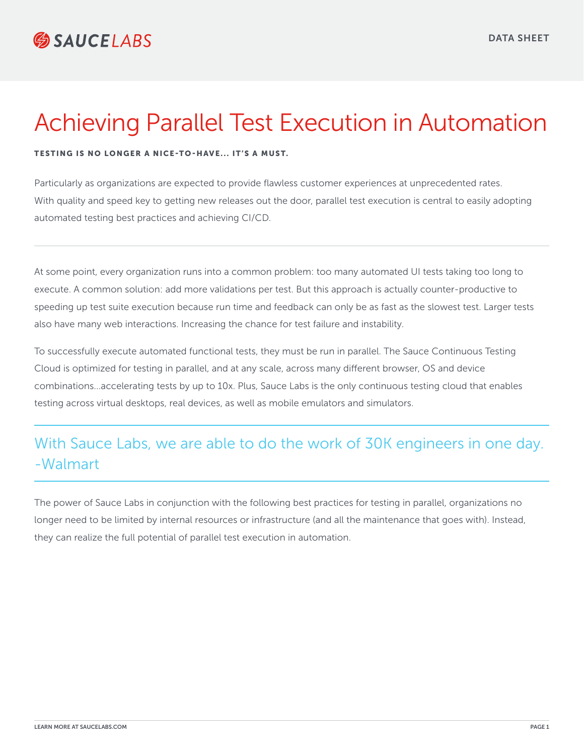## Achieving Parallel Test Execution in Automation

## TESTING IS NO LONGER A NICE-TO-HAVE... IT'S A MUST.

Particularly as organizations are expected to provide flawless customer experiences at unprecedented rates. With quality and speed key to getting new releases out the door, parallel test execution is central to easily adopting automated testing best practices and achieving CI/CD.

At some point, every organization runs into a common problem: too many automated UI tests taking too long to execute. A common solution: add more validations per test. But this approach is actually counter-productive to speeding up test suite execution because run time and feedback can only be as fast as the slowest test. Larger tests also have many web interactions. Increasing the chance for test failure and instability.

To successfully execute automated functional tests, they must be run in parallel. The Sauce Continuous Testing Cloud is optimized for testing in parallel, and at any scale, across many different browser, OS and device combinations...accelerating tests by up to 10x. Plus, Sauce Labs is the only continuous testing cloud that enables testing across virtual desktops, real devices, as well as mobile emulators and simulators.

## With Sauce Labs, we are able to do the work of 30K engineers in one day. -Walmart

The power of Sauce Labs in conjunction with the following best practices for testing in parallel, organizations no longer need to be limited by internal resources or infrastructure (and all the maintenance that goes with). Instead, they can realize the full potential of parallel test execution in automation.